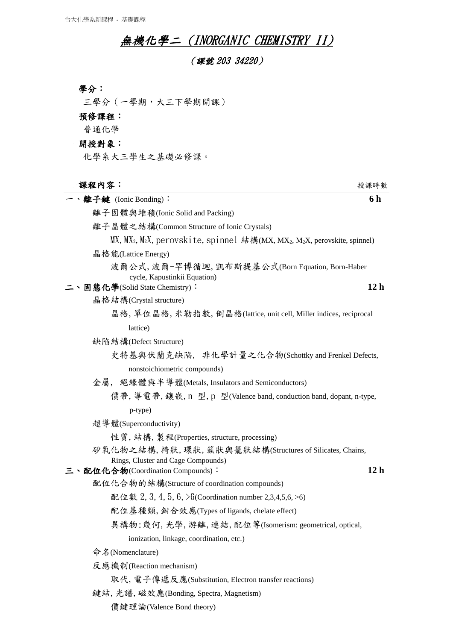## 無機化學二 (INORGANIC CHEMISTRY II)

(課號 203 34220)

三學分(一學期,大三下學期開課)

## 預修課程:

普通化學

## 開授對象:

化學系大三學生之基礎必修課。

## 課程內容:授課時數

| 、離子鍵 (Ionic Bonding):                                                                                        | 6 h             |
|--------------------------------------------------------------------------------------------------------------|-----------------|
| 離子固體與堆積(Ionic Solid and Packing)                                                                             |                 |
| 離子晶體之結構(Common Structure of Ionic Crystals)                                                                  |                 |
| $MX$ , $MX_2$ , $M_2X$ , perovskite, spinnel 結構(MX, MX <sub>2</sub> , M <sub>2</sub> X, perovskite, spinnel) |                 |
| 晶格能(Lattice Energy)                                                                                          |                 |
| 波爾公式,波爾-罕博循迴, 凱布斯提基公式(Born Equation, Born-Haber                                                              |                 |
| cycle, Kapustinkii Equation)                                                                                 | 12 <sub>h</sub> |
| 固態化學(Solid State Chemistry):<br>晶格結構(Crystal structure)                                                      |                 |
| 晶格, 單位晶格, 米勒指數, 倒晶格(lattice, unit cell, Miller indices, reciprocal                                           |                 |
| lattice)                                                                                                     |                 |
| 缺陷結構(Defect Structure)                                                                                       |                 |
| 史特基與伏蘭克缺陷, 非化學計量之化合物(Schottky and Frenkel Defects,                                                           |                 |
| nonstoichiometric compounds)                                                                                 |                 |
| 金屬,絕緣體與半導體(Metals, Insulators and Semiconductors)                                                            |                 |
| 價帶, 導電帶, 鑲嵌, n-型, p-型(Valence band, conduction band, dopant, n-type,                                         |                 |
| p-type)                                                                                                      |                 |
| 超導體(Superconductivity)                                                                                       |                 |
| 性質, 結構, 製程(Properties, structure, processing)                                                                |                 |
| 矽氧化物之結構, 椅狀, 環狀, 簇狀與籠狀結構(Structures of Silicates, Chains,                                                    |                 |
| Rings, Cluster and Cage Compounds)                                                                           |                 |
| 三、配位化合物(Coordination Compounds):                                                                             | 12 <sub>h</sub> |
| 配位化合物的結構(Structure of coordination compounds)                                                                |                 |
| 配位數 2, 3, 4, 5, 6, $\triangleright$ 6(Coordination number 2,3,4,5,6, $>$ 6)                                  |                 |
| 配位基種類, 鉗合效應(Types of ligands, chelate effect)                                                                |                 |
| 異構物:幾何,光學,游離,連結,配位等(Isomerism: geometrical, optical,                                                         |                 |
| ionization, linkage, coordination, etc.)                                                                     |                 |
| 命名(Nomenclature)                                                                                             |                 |
| 反應機制(Reaction mechanism)                                                                                     |                 |
| 取代, 電子傳遞反應(Substitution, Electron transfer reactions)                                                        |                 |
| 鍵結, 光譜, 磁效應(Bonding, Spectra, Magnetism)                                                                     |                 |
| 價鍵理論(Valence Bond theory)                                                                                    |                 |